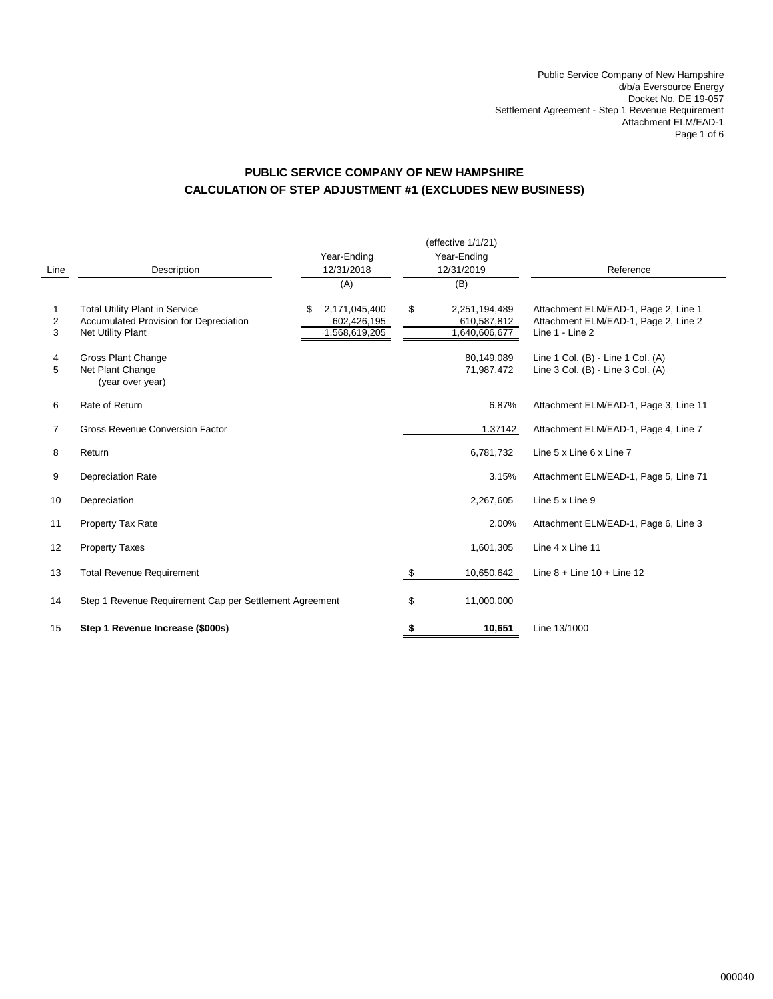Public Service Company of New Hampshire d/b/a Eversource Energy Docket No. DE 19-057 Settlement Agreement - Step 1 Revenue Requirement Attachment ELM/EAD-1 Page 1 of 6

# **PUBLIC SERVICE COMPANY OF NEW HAMPSHIRE CALCULATION OF STEP ADJUSTMENT #1 (EXCLUDES NEW BUSINESS)**

|                |                                                                                                      |                                                     |            | (effective 1/1/21)                            |                                                                                                 |
|----------------|------------------------------------------------------------------------------------------------------|-----------------------------------------------------|------------|-----------------------------------------------|-------------------------------------------------------------------------------------------------|
|                |                                                                                                      | Year-Ending                                         |            | Year-Ending                                   |                                                                                                 |
| Line           | Description                                                                                          | 12/31/2018                                          | 12/31/2019 |                                               | Reference                                                                                       |
|                |                                                                                                      | (A)                                                 |            | (B)                                           |                                                                                                 |
| 1<br>2<br>3    | <b>Total Utility Plant in Service</b><br>Accumulated Provision for Depreciation<br>Net Utility Plant | 2,171,045,400<br>\$<br>602,426,195<br>1,568,619,205 | \$         | 2,251,194,489<br>610,587,812<br>1,640,606,677 | Attachment ELM/EAD-1, Page 2, Line 1<br>Attachment ELM/EAD-1, Page 2, Line 2<br>Line 1 - Line 2 |
| 4<br>5         | <b>Gross Plant Change</b><br>Net Plant Change<br>(year over year)                                    |                                                     |            | 80,149,089<br>71,987,472                      | Line 1 Col. (B) - Line 1 Col. (A)<br>Line 3 Col. (B) - Line 3 Col. (A)                          |
| 6              | Rate of Return                                                                                       |                                                     |            | 6.87%                                         | Attachment ELM/EAD-1, Page 3, Line 11                                                           |
| $\overline{7}$ | Gross Revenue Conversion Factor                                                                      |                                                     |            | 1.37142                                       | Attachment ELM/EAD-1, Page 4, Line 7                                                            |
| 8              | Return                                                                                               |                                                     |            | 6,781,732                                     | Line 5 x Line 6 x Line 7                                                                        |
| 9              | <b>Depreciation Rate</b>                                                                             |                                                     |            | 3.15%                                         | Attachment ELM/EAD-1, Page 5, Line 71                                                           |
| 10             | Depreciation                                                                                         |                                                     |            | 2,267,605                                     | Line 5 x Line 9                                                                                 |
| 11             | Property Tax Rate                                                                                    |                                                     |            | 2.00%                                         | Attachment ELM/EAD-1, Page 6, Line 3                                                            |
| 12             | <b>Property Taxes</b>                                                                                |                                                     |            | 1,601,305                                     | Line 4 x Line 11                                                                                |
| 13             | <b>Total Revenue Requirement</b>                                                                     |                                                     | \$         | 10,650,642                                    | Line $8 +$ Line $10 +$ Line $12$                                                                |
| 14             | Step 1 Revenue Requirement Cap per Settlement Agreement                                              |                                                     | \$         | 11,000,000                                    |                                                                                                 |
| 15             | Step 1 Revenue Increase (\$000s)                                                                     |                                                     | \$         | 10,651                                        | Line 13/1000                                                                                    |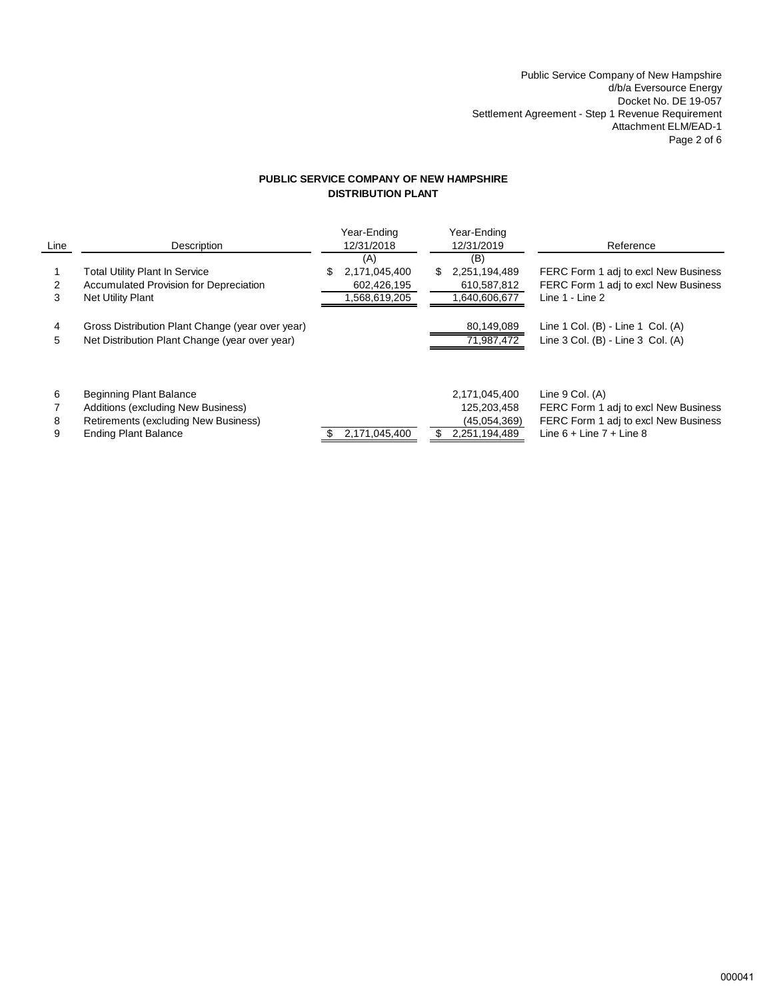Public Service Company of New Hampshire d/b/a Eversource Energy Docket No. DE 19-057 Settlement Agreement - Step 1 Revenue Requirement Attachment ELM/EAD-1 Page 2 of 6

## **PUBLIC SERVICE COMPANY OF NEW HAMPSHIRE DISTRIBUTION PLANT**

| Line        | Description                                                                                                                                 | Year-Ending<br>12/31/2018                                | Year-Ending<br>12/31/2019                                          | Reference                                                                                                                           |
|-------------|---------------------------------------------------------------------------------------------------------------------------------------------|----------------------------------------------------------|--------------------------------------------------------------------|-------------------------------------------------------------------------------------------------------------------------------------|
| 3           | <b>Total Utility Plant In Service</b><br><b>Accumulated Provision for Depreciation</b><br><b>Net Utility Plant</b>                          | (A)<br>2,171,045,400<br>S<br>602,426,195<br>568,619,205, | (B)<br>2,251,194,489<br>\$.<br>610,587,812<br>1,640,606,677        | FERC Form 1 adj to excl New Business<br>FERC Form 1 adj to excl New Business<br>Line 1 - Line 2                                     |
| 4<br>5      | Gross Distribution Plant Change (year over year)<br>Net Distribution Plant Change (year over year)                                          |                                                          | 80,149,089<br>71,987,472                                           | Line 1 Col. (B) - Line 1 Col. (A)<br>Line 3 Col. (B) - Line 3 Col. (A)                                                              |
| 6<br>8<br>9 | <b>Beginning Plant Balance</b><br>Additions (excluding New Business)<br>Retirements (excluding New Business)<br><b>Ending Plant Balance</b> | 2,171,045,400                                            | 2,171,045,400<br>125,203,458<br>(45,054,369)<br>2,251,194,489<br>S | Line $9$ Col. $(A)$<br>FERC Form 1 adj to excl New Business<br>FERC Form 1 adj to excl New Business<br>Line $6 +$ Line $7 +$ Line 8 |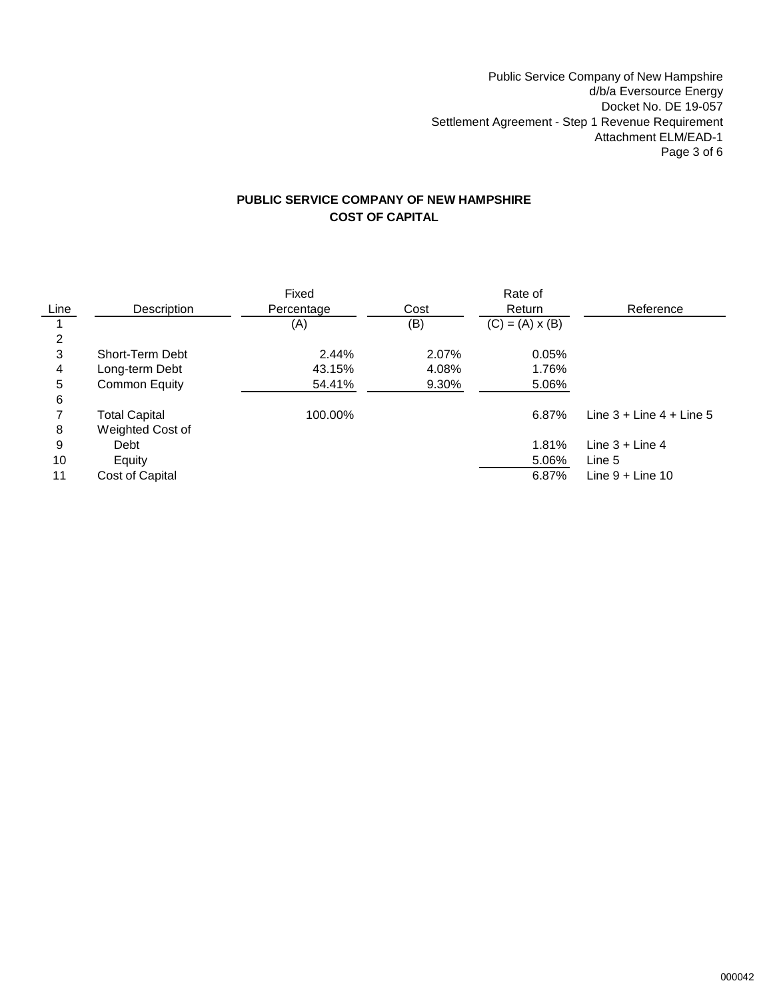Public Service Company of New Hampshire d/b/a Eversource Energy Docket No. DE 19-057 Settlement Agreement - Step 1 Revenue Requirement Attachment ELM/EAD-1 Page 3 of 6

# **PUBLIC SERVICE COMPANY OF NEW HAMPSHIRE COST OF CAPITAL**

|      |                      | Fixed      |       | Rate of                |                                |
|------|----------------------|------------|-------|------------------------|--------------------------------|
| Line | Description          | Percentage | Cost  | Return                 | Reference                      |
|      |                      | (A)        | (B)   | $(C) = (A) \times (B)$ |                                |
| 2    |                      |            |       |                        |                                |
| 3    | Short-Term Debt      | 2.44%      | 2.07% | 0.05%                  |                                |
| 4    | Long-term Debt       | 43.15%     | 4.08% | 1.76%                  |                                |
| 5    | <b>Common Equity</b> | 54.41%     | 9.30% | 5.06%                  |                                |
| 6    |                      |            |       |                        |                                |
|      | <b>Total Capital</b> | 100.00%    |       | 6.87%                  | Line $3 +$ Line $4 +$ Line $5$ |
| 8    | Weighted Cost of     |            |       |                        |                                |
| 9    | Debt                 |            |       | 1.81%                  | Line $3 +$ Line 4              |
| 10   | Equity               |            |       | 5.06%                  | Line 5                         |
| 11   | Cost of Capital      |            |       | 6.87%                  | Line $9 +$ Line 10             |

j.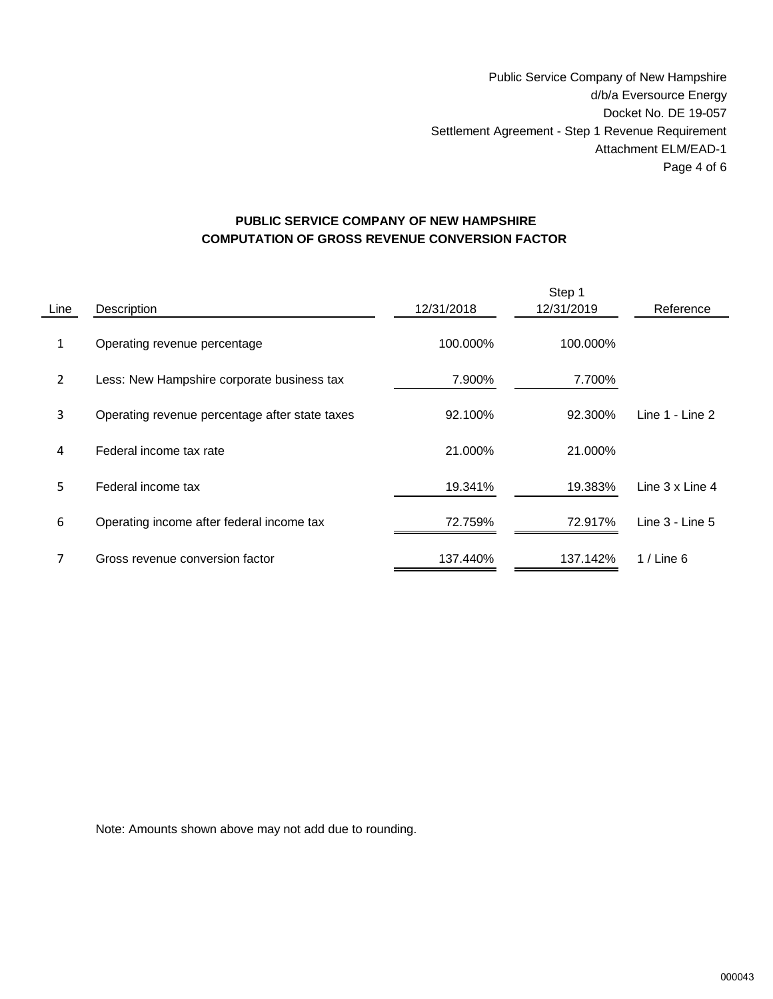Public Service Company of New Hampshire d/b/a Eversource Energy Docket No. DE 19-057 Settlement Agreement - Step 1 Revenue Requirement Attachment ELM/EAD-1 Page 4 of 6

# **PUBLIC SERVICE COMPANY OF NEW HAMPSHIRE COMPUTATION OF GROSS REVENUE CONVERSION FACTOR**

| Line           | Description                                    | 12/31/2018 | Step 1<br>12/31/2019 | Reference           |
|----------------|------------------------------------------------|------------|----------------------|---------------------|
| 1              | Operating revenue percentage                   | 100.000%   | 100.000%             |                     |
| $\overline{2}$ | Less: New Hampshire corporate business tax     | 7.900%     | 7.700%               |                     |
| 3              | Operating revenue percentage after state taxes | 92.100%    | 92.300%              | Line $1 -$ Line $2$ |
| 4              | Federal income tax rate                        | 21.000%    | 21.000%              |                     |
| 5.             | Federal income tax                             | 19.341%    | 19.383%              | Line 3 x Line 4     |
| 6              | Operating income after federal income tax      | 72.759%    | 72.917%              | Line $3 -$ Line $5$ |
| 7              | Gross revenue conversion factor                | 137.440%   | 137.142%             | $1/$ Line 6         |

Note: Amounts shown above may not add due to rounding.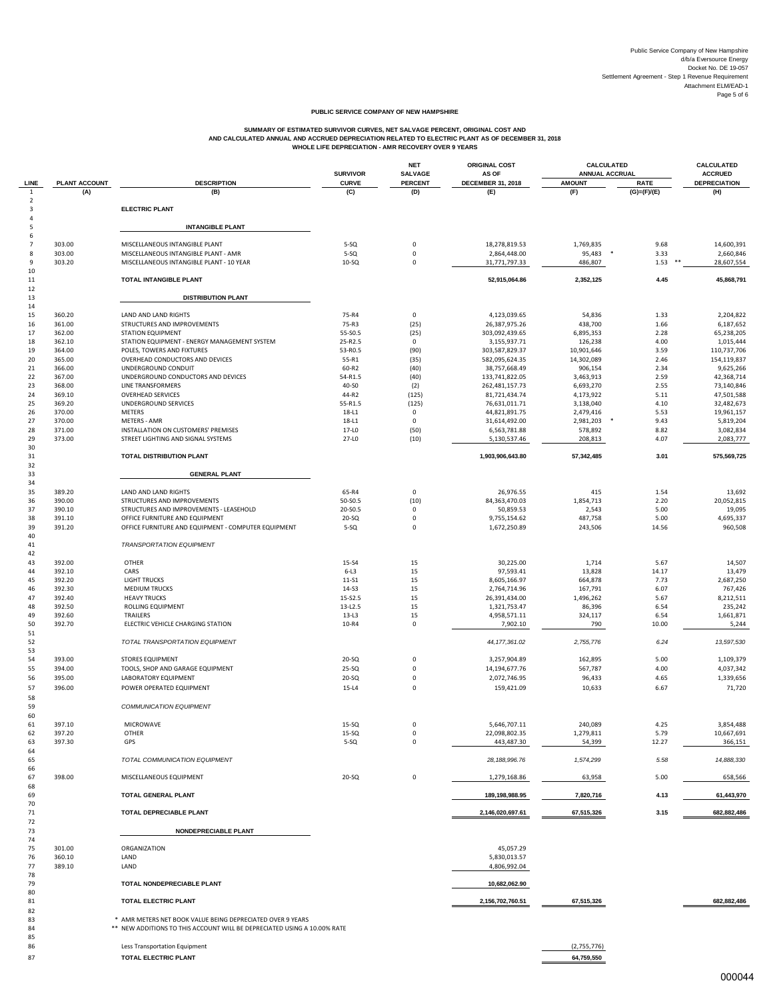#### **PUBLIC SERVICE COMPANY OF NEW HAMPSHIRE**

# SUMMARY OF ESTIMATED SURVERS OURVES, NET SALVAGE PERCENT, ORIGINAL COST AND<br>AND CALCULATED ANNUAL AND ACCRUED DEPRECIATION RELATED TO ELECTRIC PLANT AS OF DECEMBER 31, 2018<br>WHOLE LIFE DEPRECIATION - AMR RECOVERY OVER 9 YEA

|                      |                      |                                                                                                                                        | <b>SURVIVOR</b>     | <b>NET</b><br><b>SALVAGE</b> | <b>ORIGINAL COST</b><br>AS OF    | CALCULATED<br><b>ANNUAL ACCRUAL</b> |                              | CALCULATED<br><b>ACCRUED</b> |
|----------------------|----------------------|----------------------------------------------------------------------------------------------------------------------------------------|---------------------|------------------------------|----------------------------------|-------------------------------------|------------------------------|------------------------------|
| LINE<br>$\mathbf{1}$ | PLANT ACCOUNT<br>(A) | <b>DESCRIPTION</b><br>(B)                                                                                                              | <b>CURVE</b><br>(C) | <b>PERCENT</b><br>(D)        | <b>DECEMBER 31, 2018</b><br>(E)  | <b>AMOUNT</b><br>(F)                | <b>RATE</b><br>$(G)=(F)/(E)$ | <b>DEPRECIATION</b><br>(H)   |
| $\overline{2}$       |                      |                                                                                                                                        |                     |                              |                                  |                                     |                              |                              |
| 3<br>4               |                      | <b>ELECTRIC PLANT</b>                                                                                                                  |                     |                              |                                  |                                     |                              |                              |
| 5                    |                      | <b>INTANGIBLE PLANT</b>                                                                                                                |                     |                              |                                  |                                     |                              |                              |
| 6<br>7               | 303.00               | MISCELLANEOUS INTANGIBLE PLANT                                                                                                         | $5-SQ$              | 0                            | 18,278,819.53                    | 1,769,835                           | 9.68                         | 14,600,391                   |
| 8                    | 303.00               | MISCELLANEOUS INTANGIBLE PLANT - AMR                                                                                                   | $5-SQ$              | 0                            | 2,864,448.00                     | 95,483                              | 3.33                         | 2,660,846                    |
| 9<br>10              | 303.20               | MISCELLANEOUS INTANGIBLE PLANT - 10 YEAR                                                                                               | $10-SQ$             | $\mathbf 0$                  | 31,771,797.33                    | 486,807                             | 1.53                         | 28,607,554                   |
| 11                   |                      | TOTAL INTANGIBLE PLANT                                                                                                                 |                     |                              | 52,915,064.86                    | 2,352,125                           | 4.45                         | 45,868,791                   |
| 12<br>13             |                      | <b>DISTRIBUTION PLANT</b>                                                                                                              |                     |                              |                                  |                                     |                              |                              |
| 14                   |                      |                                                                                                                                        |                     |                              |                                  |                                     |                              |                              |
| 15                   | 360.20               | LAND AND LAND RIGHTS                                                                                                                   | 75-R4               | 0                            | 4,123,039.65                     | 54,836                              | 1.33                         | 2,204,822                    |
| 16<br>17             | 361.00<br>362.00     | STRUCTURES AND IMPROVEMENTS<br><b>STATION EQUIPMENT</b>                                                                                | 75-R3<br>55-SO.5    | (25)<br>(25)                 | 26,387,975.26<br>303,092,439.65  | 438,700<br>6,895,353                | 1.66<br>2.28                 | 6,187,652<br>65,238,205      |
| 18                   | 362.10               | STATION EQUIPMENT - ENERGY MANAGEMENT SYSTEM                                                                                           | 25-R2.5             | 0                            | 3,155,937.71                     | 126,238                             | 4.00                         | 1,015,444                    |
| 19<br>20             | 364.00<br>365.00     | POLES, TOWERS AND FIXTURES<br>OVERHEAD CONDUCTORS AND DEVICES                                                                          | 53-R0.5<br>55-R1    | (90)<br>(35)                 | 303,587,829.37<br>582,095,624.35 | 10,901,646<br>14,302,089            | 3.59<br>2.46                 | 110,737,706<br>154,119,837   |
| 21                   | 366.00               | UNDERGROUND CONDUIT                                                                                                                    | 60-R2               | (40)                         | 38,757,668.49                    | 906,154                             | 2.34                         | 9,625,266                    |
| 22                   | 367.00               | UNDERGROUND CONDUCTORS AND DEVICES                                                                                                     | 54-R1.5             | (40)                         | 133,741,822.05                   | 3,463,913                           | 2.59                         | 42,368,714                   |
| 23<br>24             | 368.00<br>369.10     | LINE TRANSFORMERS<br><b>OVERHEAD SERVICES</b>                                                                                          | 40-SO<br>44-R2      | (2)<br>(125)                 | 262,481,157.73<br>81,721,434.74  | 6,693,270<br>4,173,922              | 2.55<br>5.11                 | 73,140,846<br>47,501,588     |
| 25                   | 369.20               | UNDERGROUND SERVICES                                                                                                                   | 55-R1.5             | (125)                        | 76,631,011.71                    | 3,138,040                           | 4.10                         | 32,482,673                   |
| 26                   | 370.00               | METERS                                                                                                                                 | 18-L1               | 0                            | 44,821,891.75                    | 2,479,416                           | 5.53                         | 19,961,157                   |
| 27<br>28             | 370.00<br>371.00     | <b>METERS - AMR</b><br>INSTALLATION ON CUSTOMERS' PREMISES                                                                             | $18-L1$<br>17-L0    | 0<br>(50)                    | 31,614,492.00<br>6,563,781.88    | 2,981,203<br>578,892                | 9.43<br>8.82                 | 5,819,204<br>3,082,834       |
| 29                   | 373.00               | STREET LIGHTING AND SIGNAL SYSTEMS                                                                                                     | 27-LO               | (10)                         | 5,130,537.46                     | 208,813                             | 4.07                         | 2,083,777                    |
| 30                   |                      |                                                                                                                                        |                     |                              |                                  |                                     |                              |                              |
| 31<br>32             |                      | TOTAL DISTRIBUTION PLANT                                                                                                               |                     |                              | 1,903,906,643.80                 | 57,342,485                          | 3.01                         | 575,569,725                  |
| 33                   |                      | <b>GENERAL PLANT</b>                                                                                                                   |                     |                              |                                  |                                     |                              |                              |
| 34<br>35             | 389.20               | LAND AND LAND RIGHTS                                                                                                                   | 65-R4               | 0                            | 26,976.55                        | 415                                 | 1.54                         | 13,692                       |
| 36                   | 390.00               | STRUCTURES AND IMPROVEMENTS                                                                                                            | 50-S0.5             | (10)                         | 84,363,470.03                    | 1,854,713                           | 2.20                         | 20,052,815                   |
| 37                   | 390.10               | STRUCTURES AND IMPROVEMENTS - LEASEHOLD                                                                                                | 20-S0.5             | $\mathbf 0$                  | 50,859.53                        | 2,543                               | 5.00                         | 19,095                       |
| 38<br>39             | 391.10<br>391.20     | OFFICE FURNITURE AND EQUIPMENT<br>OFFICE FURNITURE AND EQUIPMENT - COMPUTER EQUIPMENT                                                  | 20-SQ<br>$5-SQ$     | 0<br>0                       | 9,755,154.62<br>1,672,250.89     | 487,758<br>243,506                  | 5.00<br>14.56                | 4,695,337<br>960,508         |
| 40                   |                      |                                                                                                                                        |                     |                              |                                  |                                     |                              |                              |
| 41                   |                      | <b>TRANSPORTATION EQUIPMENT</b>                                                                                                        |                     |                              |                                  |                                     |                              |                              |
| 42<br>43             | 392.00               | OTHER                                                                                                                                  | 15-S4               | 15                           | 30,225.00                        | 1,714                               | 5.67                         | 14,507                       |
| 44                   | 392.10               | CARS                                                                                                                                   | $6 - L3$            | 15                           | 97,593.41                        | 13,828                              | 14.17                        | 13,479                       |
| 45                   | 392.20               | <b>LIGHT TRUCKS</b>                                                                                                                    | 11-S1<br>14-S3      | 15                           | 8,605,166.97                     | 664,878                             | 7.73                         | 2,687,250<br>767,426         |
| 46<br>47             | 392.30<br>392.40     | <b>MEDIUM TRUCKS</b><br><b>HEAVY TRUCKS</b>                                                                                            | 15-S2.5             | 15<br>15                     | 2,764,714.96<br>26,391,434.00    | 167,791<br>1,496,262                | 6.07<br>5.67                 | 8,212,511                    |
| 48                   | 392.50               | <b>ROLLING EQUIPMENT</b>                                                                                                               | 13-L <sub>2.5</sub> | 15                           | 1,321,753.47                     | 86,396                              | 6.54                         | 235,242                      |
| 49<br>50             | 392.60<br>392.70     | TRAILERS<br>ELECTRIC VEHICLE CHARGING STATION                                                                                          | $13-L3$<br>10-R4    | 15<br>0                      | 4,958,571.11<br>7,902.10         | 324,117<br>790                      | 6.54<br>10.00                | 1,661,871<br>5,244           |
| 51                   |                      |                                                                                                                                        |                     |                              |                                  |                                     |                              |                              |
| 52                   |                      | TOTAL TRANSPORTATION EQUIPMENT                                                                                                         |                     |                              | 44, 177, 361.02                  | 2,755,776                           | 6.24                         | 13,597,530                   |
| 53<br>54             | 393.00               | <b>STORES EQUIPMENT</b>                                                                                                                | $20-SQ$             | $\mathbf 0$                  | 3,257,904.89                     | 162,895                             | 5.00                         | 1,109,379                    |
| 55                   | 394.00               | TOOLS, SHOP AND GARAGE EQUIPMENT                                                                                                       | 25-SQ               | 0                            | 14,194,677.76                    | 567,787                             | 4.00                         | 4,037,342                    |
| 56                   | 395.00               | LABORATORY EQUIPMENT                                                                                                                   | 20-SQ               | 0                            | 2,072,746.95                     | 96,433                              | 4.65                         | 1,339,656                    |
| 57<br>58             | 396.00               | POWER OPERATED EQUIPMENT                                                                                                               | $15-L4$             | $\mathbf 0$                  | 159,421.09                       | 10,633                              | 6.67                         | 71,720                       |
| 59                   |                      | <b>COMMUNICATION EQUIPMENT</b>                                                                                                         |                     |                              |                                  |                                     |                              |                              |
| 60                   |                      |                                                                                                                                        |                     |                              |                                  |                                     |                              |                              |
| 61<br>62             | 397.10<br>397.20     | MICROWAVE<br>OTHER                                                                                                                     | 15-SQ<br>$15-SQ$    | $\mathbf 0$                  | 5,646,707.11<br>22,098,802.35    | 240,089<br>1,279,811                | 4.25<br>5.79                 | 3,854,488<br>10,667,691      |
| 63                   | 397.30               | GPS                                                                                                                                    | $5-SQ$              | 0                            | 443,487.30                       | 54,399                              | 12.27                        | 366,151                      |
| 64<br>65             |                      | TOTAL COMMUNICATION EQUIPMENT                                                                                                          |                     |                              | 28, 188, 996. 76                 | 1,574,299                           | 5.58                         | 14,888,330                   |
| 66                   |                      |                                                                                                                                        |                     |                              |                                  |                                     |                              |                              |
| 67                   | 398.00               | MISCELLANEOUS EQUIPMENT                                                                                                                | $20-SQ$             | $\pmb{0}$                    | 1,279,168.86                     | 63,958                              | 5.00                         | 658,566                      |
| 68<br>69             |                      | TOTAL GENERAL PLANT                                                                                                                    |                     |                              | 189,198,988.95                   | 7,820,716                           | 4.13                         | 61,443,970                   |
| 70<br>71             |                      | TOTAL DEPRECIABLE PLANT                                                                                                                |                     |                              | 2,146,020,697.61                 | 67,515,326                          | 3.15                         | 682,882,486                  |
| 72<br>73             |                      | NONDEPRECIABLE PLANT                                                                                                                   |                     |                              |                                  |                                     |                              |                              |
| 74                   |                      |                                                                                                                                        |                     |                              |                                  |                                     |                              |                              |
| 75<br>76             | 301.00<br>360.10     | ORGANIZATION<br>LAND                                                                                                                   |                     |                              | 45,057.29<br>5,830,013.57        |                                     |                              |                              |
| 77                   | 389.10               | LAND                                                                                                                                   |                     |                              | 4,806,992.04                     |                                     |                              |                              |
| 78                   |                      |                                                                                                                                        |                     |                              |                                  |                                     |                              |                              |
| 79<br>80             |                      | TOTAL NONDEPRECIABLE PLANT                                                                                                             |                     |                              | 10,682,062.90                    |                                     |                              |                              |
| 81                   |                      | TOTAL ELECTRIC PLANT                                                                                                                   |                     |                              | 2,156,702,760.51                 | 67,515,326                          |                              | 682,882,486                  |
| 82                   |                      |                                                                                                                                        |                     |                              |                                  |                                     |                              |                              |
| 83<br>84             |                      | * AMR METERS NET BOOK VALUE BEING DEPRECIATED OVER 9 YEARS<br>** NEW ADDITIONS TO THIS ACCOUNT WILL BE DEPRECIATED USING A 10.00% RATE |                     |                              |                                  |                                     |                              |                              |
| 85                   |                      |                                                                                                                                        |                     |                              |                                  |                                     |                              |                              |
| 86                   |                      | Less Transportation Equipment                                                                                                          |                     |                              |                                  | (2,755,776)                         |                              |                              |

**TOTAL ELECTRIC PLANT 64,759,550**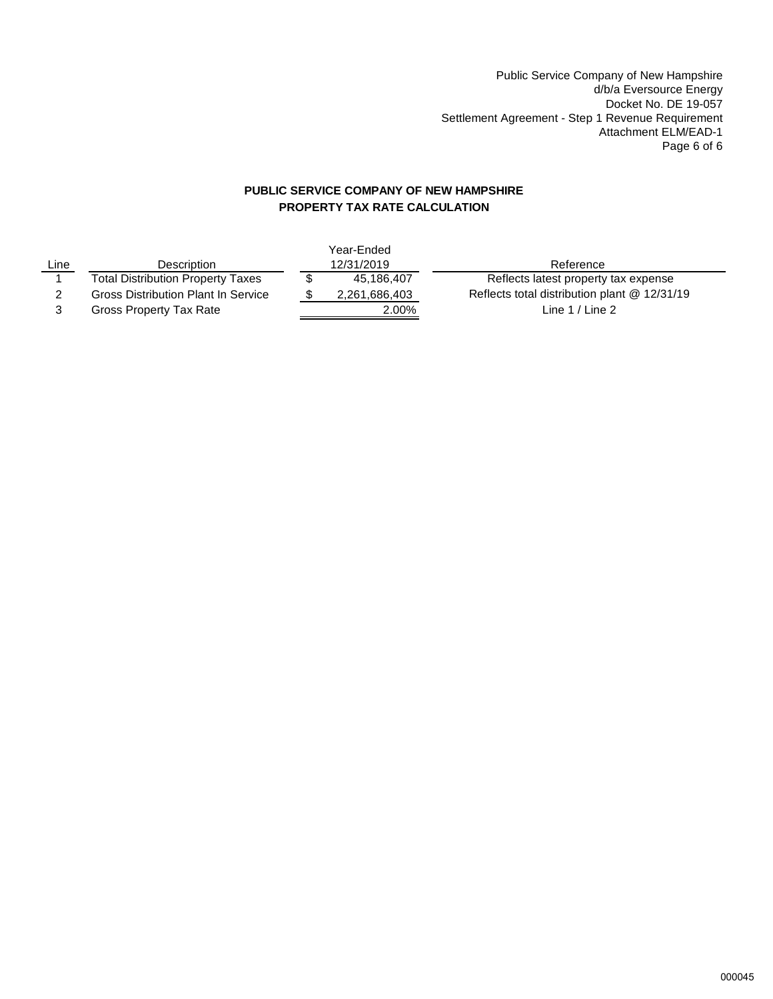Public Service Company of New Hampshire d/b/a Eversource Energy Docket No. DE 19-057 Settlement Agreement - Step 1 Revenue Requirement Attachment ELM/EAD-1 Page 6 of 6

# **PUBLIC SERVICE COMPANY OF NEW HAMPSHIRE PROPERTY TAX RATE CALCULATION**

|      |                                          | Year-Ended    |                                              |
|------|------------------------------------------|---------------|----------------------------------------------|
| Line | Description                              | 12/31/2019    | Reference                                    |
|      | <b>Total Distribution Property Taxes</b> | 45.186.407    | Reflects latest property tax expense         |
|      | Gross Distribution Plant In Service      | 2,261,686,403 | Reflects total distribution plant @ 12/31/19 |
|      | Gross Property Tax Rate                  | 2.00%         | Line $1 /$ Line 2                            |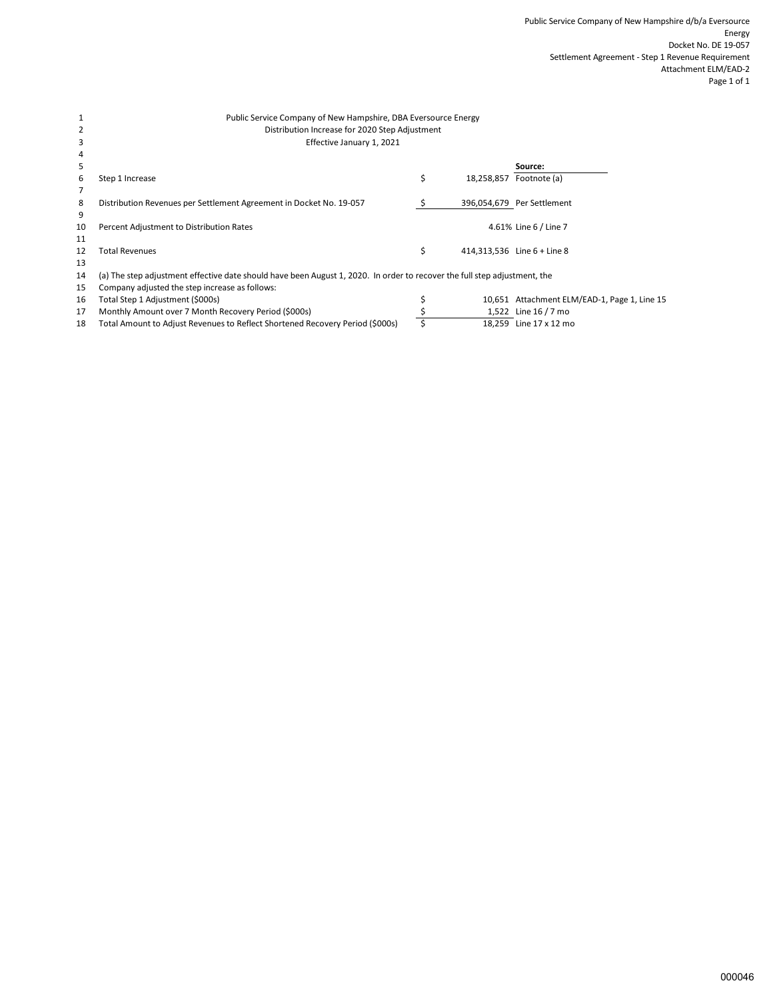#### Public Service Company of New Hampshire, DBA Eversource Energy Distribution Increase for 2020 Step Adjustment Effective January 1, 2021

| 4          |                                                                                                                            |            |                             |
|------------|----------------------------------------------------------------------------------------------------------------------------|------------|-----------------------------|
| 5          |                                                                                                                            |            | Source:                     |
| 6          | Step 1 Increase                                                                                                            | 18,258,857 | Footnote (a)                |
|            |                                                                                                                            |            |                             |
| 8          | Distribution Revenues per Settlement Agreement in Docket No. 19-057                                                        |            | 396,054,679 Per Settlement  |
| 9          |                                                                                                                            |            |                             |
| 10         | Percent Adjustment to Distribution Rates                                                                                   |            | 4.61% Line 6 / Line 7       |
| 11         |                                                                                                                            |            |                             |
| 12         | Total Revenues                                                                                                             |            | 414.313.536 Line 6 + Line 8 |
| 13         |                                                                                                                            |            |                             |
| <b>1</b> A | (a) The stap adjustment offective date should have been August 1, 2020. In order to resource the full stap adjustment, the |            |                             |

14 (a) The step adjustment effective date should have been August 1, 2020. In order to recover the full step adjustment, the

15 Company adjusted the step increase as follows:<br>16 Total Step 1 Adjustment (\$000s)

1 2 3

17 Monthly Amount over 7 Month Recovery Period (\$000s) <br>18 Total Amount to Adjust Revenues to Reflect Shortened Recovery Period (\$000s) <br>18.259 Line 17 x 12 mo 18 Total Amount to Adjust Revenues to Reflect Shortened Recovery Period (\$000s)

 $\frac{$}{5}$  10,651 Attachment ELM/EAD-1, Page 1, Line 15<br>  $\frac{$}{5}$  1,522 Line 16 / 7 mo<br>
18,259 Line 17 x 12 mo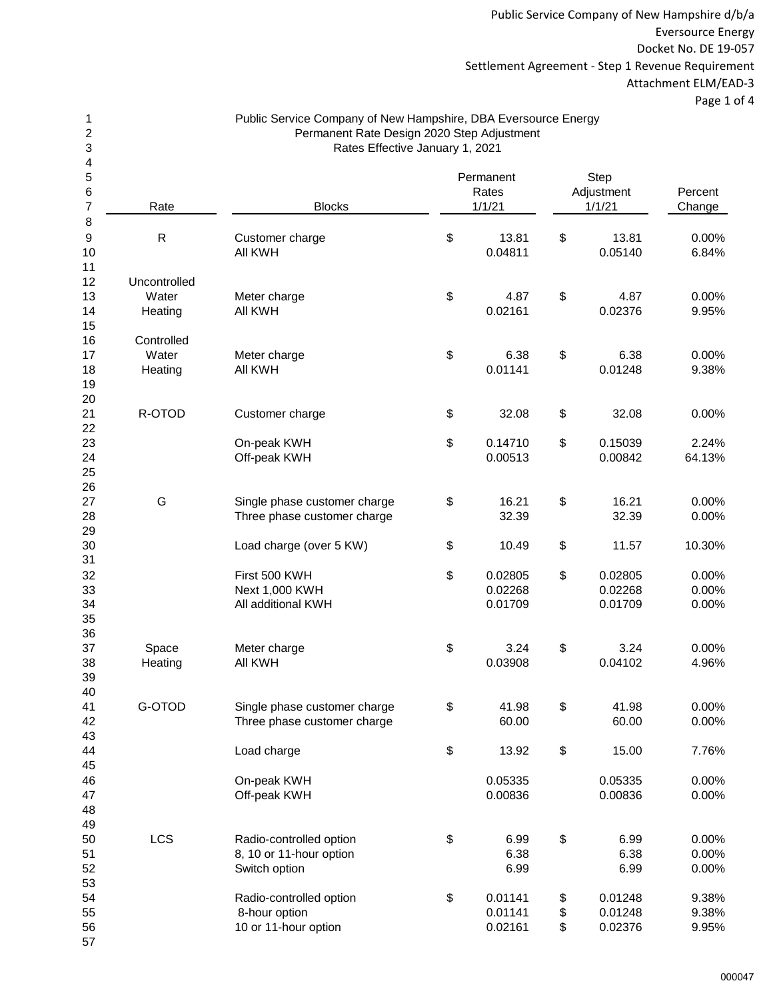Public Service Company of New Hampshire d/b/a Eversource Energy Docket No. DE 19-057 Settlement Agreement - Step 1 Revenue Requirement Attachment ELM/EAD-3 Page 1 of 4

| Public Service Company of New Hampshire, DBA Eversource Energy |
|----------------------------------------------------------------|
| Permanent Rate Design 2020 Step Adjustment                     |
| Rates Effective January 1, 2021                                |

| 4              |                       |                              |                    |                    |         |
|----------------|-----------------------|------------------------------|--------------------|--------------------|---------|
| $\frac{5}{6}$  |                       |                              | Permanent<br>Rates | Step<br>Adjustment | Percent |
| $\overline{7}$ | Rate                  | <b>Blocks</b>                | 1/1/21             | 1/1/21             | Change  |
| 8              |                       |                              |                    |                    |         |
| 9              | $\mathsf{R}$          | Customer charge              | \$<br>13.81        | \$<br>13.81        | 0.00%   |
| 10             |                       | All KWH                      | 0.04811            | 0.05140            | 6.84%   |
| 11             |                       |                              |                    |                    |         |
| 12<br>13       | Uncontrolled<br>Water |                              | 4.87               | 4.87               | 0.00%   |
| 14             | Heating               | Meter charge<br>All KWH      | \$<br>0.02161      | \$<br>0.02376      | 9.95%   |
| 15             |                       |                              |                    |                    |         |
| 16             | Controlled            |                              |                    |                    |         |
| 17             | Water                 | Meter charge                 | \$<br>6.38         | \$<br>6.38         | 0.00%   |
| 18             | Heating               | All KWH                      | 0.01141            | 0.01248            | 9.38%   |
| 19             |                       |                              |                    |                    |         |
| 20             |                       |                              |                    |                    |         |
| 21             | R-OTOD                | Customer charge              | \$<br>32.08        | \$<br>32.08        | 0.00%   |
| 22             |                       |                              |                    |                    |         |
| 23             |                       | On-peak KWH                  | \$<br>0.14710      | \$<br>0.15039      | 2.24%   |
| 24             |                       | Off-peak KWH                 | 0.00513            | 0.00842            | 64.13%  |
| 25             |                       |                              |                    |                    |         |
| 26             |                       |                              |                    |                    |         |
| 27             | G                     | Single phase customer charge | \$<br>16.21        | \$<br>16.21        | 0.00%   |
| 28             |                       | Three phase customer charge  | 32.39              | 32.39              | 0.00%   |
| 29<br>30       |                       |                              |                    | 11.57              | 10.30%  |
| 31             |                       | Load charge (over 5 KW)      | \$<br>10.49        | \$                 |         |
| 32             |                       | First 500 KWH                | \$<br>0.02805      | \$<br>0.02805      | 0.00%   |
| 33             |                       | Next 1,000 KWH               | 0.02268            | 0.02268            | 0.00%   |
| 34             |                       | All additional KWH           | 0.01709            | 0.01709            | 0.00%   |
| 35             |                       |                              |                    |                    |         |
| 36             |                       |                              |                    |                    |         |
| 37             | Space                 | Meter charge                 | \$<br>3.24         | \$<br>3.24         | 0.00%   |
| 38             | Heating               | All KWH                      | 0.03908            | 0.04102            | 4.96%   |
| 39             |                       |                              |                    |                    |         |
| 40             |                       |                              |                    |                    |         |
| 41             | G-OTOD                | Single phase customer charge | \$<br>41.98        | \$<br>41.98        | 0.00%   |
| 42             |                       | Three phase customer charge  | 60.00              | 60.00              | 0.00%   |
| 43             |                       |                              |                    |                    |         |
| 44             |                       | Load charge                  | \$<br>13.92        | \$<br>15.00        | 7.76%   |
| 45             |                       |                              |                    |                    |         |
| 46             |                       | On-peak KWH                  | 0.05335            | 0.05335            | 0.00%   |
| 47<br>48       |                       | Off-peak KWH                 | 0.00836            | 0.00836            | 0.00%   |
| 49             |                       |                              |                    |                    |         |
| 50             | <b>LCS</b>            | Radio-controlled option      | \$<br>6.99         | \$<br>6.99         | 0.00%   |
| 51             |                       | 8, 10 or 11-hour option      | 6.38               | 6.38               | 0.00%   |
| 52             |                       | Switch option                | 6.99               | 6.99               | 0.00%   |
| 53             |                       |                              |                    |                    |         |
| 54             |                       | Radio-controlled option      | \$<br>0.01141      | \$<br>0.01248      | 9.38%   |
| 55             |                       | 8-hour option                | 0.01141            | \$<br>0.01248      | 9.38%   |
| 56             |                       | 10 or 11-hour option         | 0.02161            | \$<br>0.02376      | 9.95%   |
| 57             |                       |                              |                    |                    |         |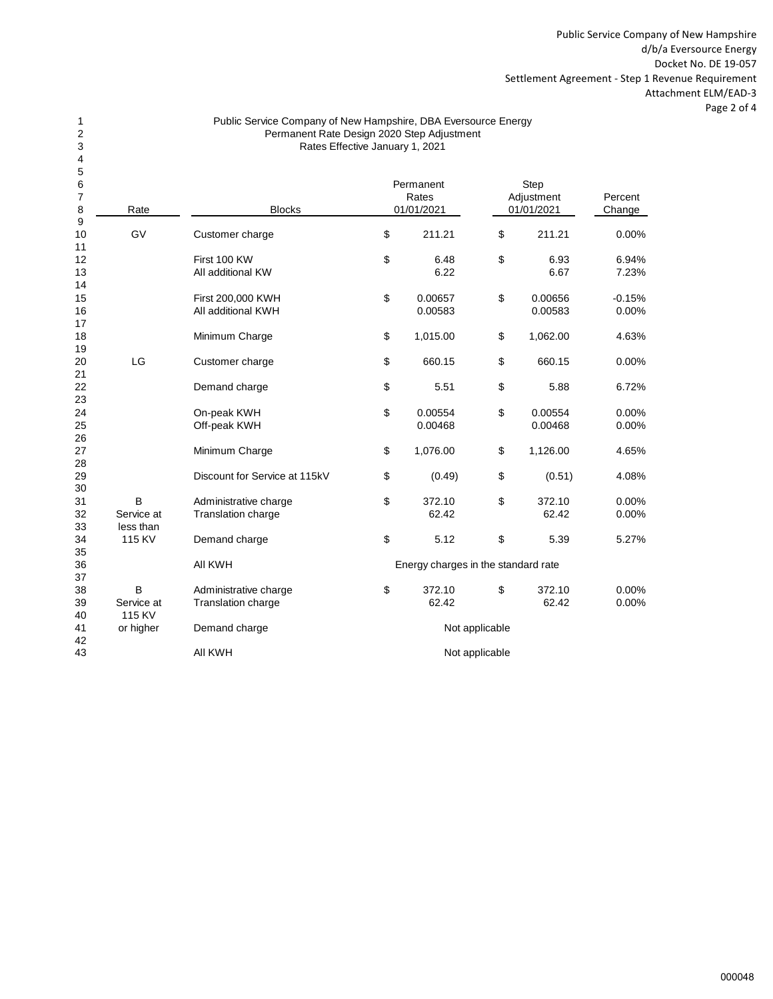Public Service Company of New Hampshire d/b/a Eversource Energy Docket No. DE 19-057 Settlement Agreement - Step 1 Revenue Requirement Attachment ELM/EAD-3 Page 2 of 4

#### Public Service Company of New Hampshire, DBA Eversource Energy Rates Effective January 1, 2021 Permanent Rate Design 2020 Step Adjustment

| 5              |                 |                               |            |                                     |                |                 |                |  |
|----------------|-----------------|-------------------------------|------------|-------------------------------------|----------------|-----------------|----------------|--|
| 6              |                 |                               |            | Permanent                           |                | Step            |                |  |
| $\overline{7}$ |                 |                               |            | Rates                               |                | Adjustment      | Percent        |  |
| 8              | Rate            | <b>Blocks</b>                 | 01/01/2021 |                                     |                | 01/01/2021      | Change         |  |
| 9              |                 |                               |            |                                     |                |                 |                |  |
| 10             | GV              | Customer charge               | \$         | 211.21                              | \$             | 211.21          | 0.00%          |  |
| 11             |                 |                               |            |                                     |                |                 |                |  |
| 12             |                 | First 100 KW                  | \$         | 6.48                                | \$             | 6.93            | 6.94%          |  |
| 13             |                 | All additional KW             |            | 6.22                                |                | 6.67            | 7.23%          |  |
| 14             |                 |                               |            |                                     |                |                 |                |  |
| 15             |                 | First 200,000 KWH             | \$         | 0.00657                             | \$             | 0.00656         | $-0.15%$       |  |
| 16             |                 | All additional KWH            |            | 0.00583                             |                | 0.00583         | 0.00%          |  |
| 17             |                 |                               |            |                                     |                |                 |                |  |
| 18             |                 | Minimum Charge                | \$         | 1,015.00                            | \$             | 1,062.00        | 4.63%          |  |
| 19             |                 |                               |            |                                     |                |                 |                |  |
| 20             | LG              | Customer charge               | \$         | 660.15                              | \$             | 660.15          | 0.00%          |  |
| 21             |                 |                               |            |                                     |                |                 |                |  |
| 22             |                 | Demand charge                 | \$         | 5.51                                | \$             | 5.88            | 6.72%          |  |
| 23             |                 |                               |            |                                     |                |                 |                |  |
| 24             |                 | On-peak KWH                   | \$         | 0.00554                             | \$             | 0.00554         | 0.00%          |  |
| 25             |                 | Off-peak KWH                  |            | 0.00468                             |                | 0.00468         | 0.00%          |  |
| 26             |                 |                               |            |                                     |                |                 |                |  |
| 27             |                 | Minimum Charge                | \$         | 1,076.00                            | \$             | 1,126.00        | 4.65%          |  |
| 28             |                 |                               |            |                                     |                |                 |                |  |
| 29             |                 | Discount for Service at 115kV | \$         | (0.49)                              | \$             | (0.51)          | 4.08%          |  |
| 30             |                 |                               |            |                                     |                |                 |                |  |
| 31             | B               | Administrative charge         | \$         | 372.10                              | \$             | 372.10          | 0.00%          |  |
| 32             | Service at      | <b>Translation charge</b>     |            | 62.42                               |                | 62.42           | 0.00%          |  |
| 33             | less than       |                               |            |                                     |                |                 |                |  |
| 34             | 115 KV          | Demand charge                 | \$         | 5.12                                | \$             | 5.39            | 5.27%          |  |
| 35             |                 |                               |            |                                     |                |                 |                |  |
| 36             |                 | All KWH                       |            | Energy charges in the standard rate |                |                 |                |  |
| 37             |                 |                               |            |                                     |                |                 |                |  |
| 38<br>39       | B<br>Service at | Administrative charge         | \$         | 372.10<br>62.42                     | \$             | 372.10<br>62.42 | 0.00%<br>0.00% |  |
| 40             | 115 KV          | Translation charge            |            |                                     |                |                 |                |  |
| 41             | or higher       | Demand charge                 |            |                                     |                |                 |                |  |
| 42             |                 |                               |            |                                     | Not applicable |                 |                |  |
| 43             |                 | All KWH                       |            |                                     | Not applicable |                 |                |  |
|                |                 |                               |            |                                     |                |                 |                |  |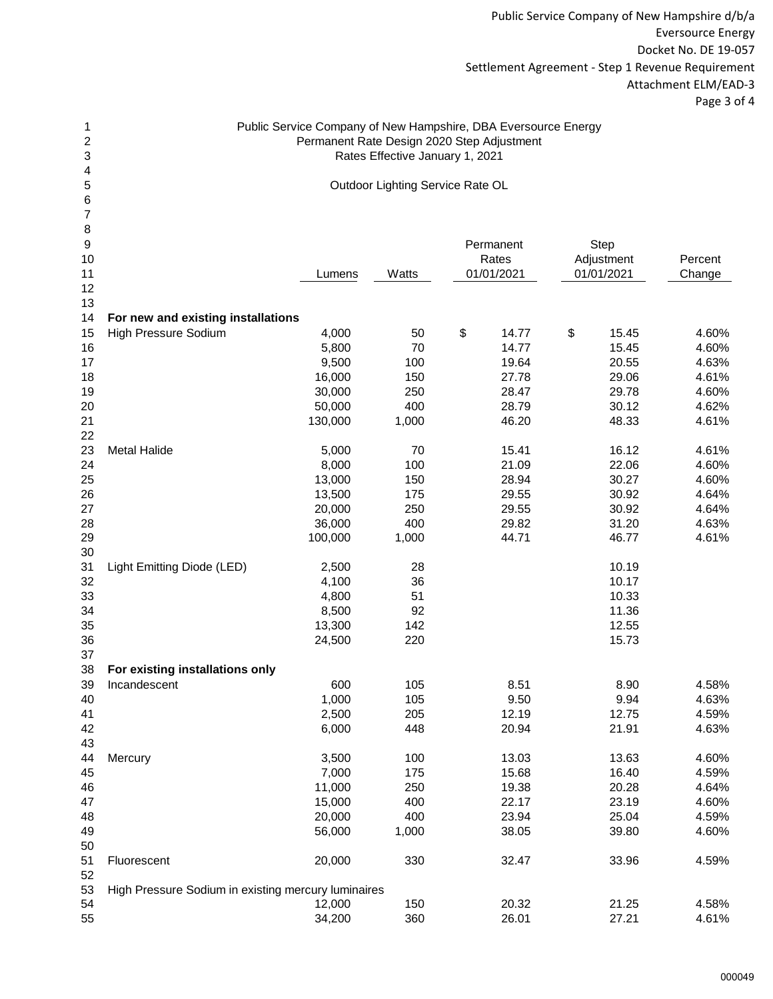Public Service Company of New Hampshire d/b/a Eversource Energy Docket No. DE 19-057 Settlement Agreement - Step 1 Revenue Requirement Attachment ELM/EAD-3 Page 3 of 4

## Rates Effective January 1, 2021 Permanent Rate Design 2020 Step Adjustment Public Service Company of New Hampshire, DBA Eversource Energy

Outdoor Lighting Service Rate OL

| 8                |                                                     |         |       |             |             |         |
|------------------|-----------------------------------------------------|---------|-------|-------------|-------------|---------|
| $\boldsymbol{9}$ |                                                     |         |       | Permanent   | <b>Step</b> |         |
| 10               |                                                     |         |       | Rates       | Adjustment  | Percent |
| 11               |                                                     | Lumens  | Watts | 01/01/2021  | 01/01/2021  | Change  |
| 12               |                                                     |         |       |             |             |         |
| 13               |                                                     |         |       |             |             |         |
| 14               | For new and existing installations                  |         |       |             |             |         |
| 15               | High Pressure Sodium                                | 4,000   | 50    | \$<br>14.77 | \$<br>15.45 | 4.60%   |
| 16               |                                                     | 5,800   | 70    | 14.77       | 15.45       | 4.60%   |
| 17               |                                                     | 9,500   | 100   | 19.64       | 20.55       | 4.63%   |
| 18               |                                                     | 16,000  | 150   | 27.78       | 29.06       | 4.61%   |
| 19               |                                                     | 30,000  | 250   | 28.47       | 29.78       | 4.60%   |
| 20               |                                                     | 50,000  | 400   | 28.79       | 30.12       | 4.62%   |
| 21               |                                                     | 130,000 | 1,000 | 46.20       | 48.33       | 4.61%   |
| 22               |                                                     |         |       |             |             |         |
| 23               | <b>Metal Halide</b>                                 | 5,000   | 70    | 15.41       | 16.12       | 4.61%   |
| 24               |                                                     | 8,000   | 100   | 21.09       | 22.06       | 4.60%   |
| 25               |                                                     | 13,000  | 150   | 28.94       | 30.27       | 4.60%   |
| 26               |                                                     | 13,500  | 175   | 29.55       | 30.92       | 4.64%   |
| 27               |                                                     | 20,000  | 250   | 29.55       | 30.92       | 4.64%   |
| 28               |                                                     | 36,000  | 400   | 29.82       | 31.20       | 4.63%   |
| 29               |                                                     | 100,000 | 1,000 | 44.71       | 46.77       | 4.61%   |
| 30               |                                                     |         |       |             |             |         |
| 31               | Light Emitting Diode (LED)                          | 2,500   | 28    |             | 10.19       |         |
| 32               |                                                     | 4,100   | 36    |             | 10.17       |         |
| 33               |                                                     | 4,800   | 51    |             | 10.33       |         |
| 34               |                                                     | 8,500   | 92    |             | 11.36       |         |
| 35               |                                                     | 13,300  | 142   |             | 12.55       |         |
| 36               |                                                     | 24,500  | 220   |             | 15.73       |         |
| 37               |                                                     |         |       |             |             |         |
| 38               | For existing installations only                     |         |       |             |             |         |
| 39               | Incandescent                                        | 600     | 105   | 8.51        | 8.90        | 4.58%   |
| 40               |                                                     | 1,000   | 105   | 9.50        | 9.94        | 4.63%   |
| 41               |                                                     | 2,500   | 205   | 12.19       | 12.75       | 4.59%   |
| 42               |                                                     | 6,000   | 448   | 20.94       | 21.91       | 4.63%   |
| 43               |                                                     |         |       |             |             |         |
| 44               | Mercury                                             | 3,500   | 100   | 13.03       | 13.63       | 4.60%   |
| 45               |                                                     | 7,000   | 175   | 15.68       | 16.40       | 4.59%   |
| 46               |                                                     | 11,000  | 250   | 19.38       | 20.28       | 4.64%   |
| 47               |                                                     | 15,000  | 400   | 22.17       | 23.19       | 4.60%   |
| 48               |                                                     | 20,000  | 400   | 23.94       | 25.04       | 4.59%   |
| 49               |                                                     | 56,000  | 1,000 | 38.05       | 39.80       | 4.60%   |
| 50               |                                                     |         |       |             |             |         |
|                  |                                                     | 20,000  | 330   |             |             | 4.59%   |
| 51<br>52         | Fluorescent                                         |         |       | 32.47       | 33.96       |         |
| 53               | High Pressure Sodium in existing mercury luminaires |         |       |             |             |         |
| 54               |                                                     | 12,000  | 150   | 20.32       | 21.25       | 4.58%   |
| 55               |                                                     | 34,200  | 360   | 26.01       | 27.21       | 4.61%   |
|                  |                                                     |         |       |             |             |         |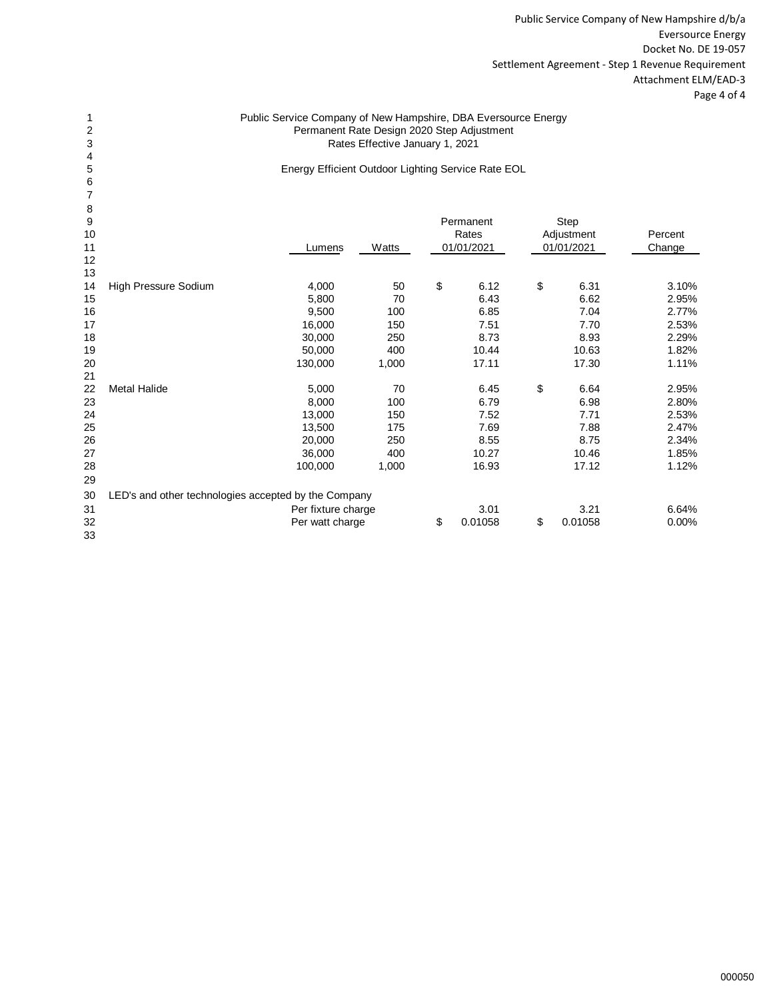Public Service Company of New Hampshire d/b/a Eversource Energy Docket No. DE 19-057 Settlement Agreement - Step 1 Revenue Requirement Attachment ELM/EAD-3 Page 4 of 4

#### Public Service Company of New Hampshire, DBA Eversource Energy Permanent Rate Design 2020 Step Adjustment Rates Effective January 1, 2021

Energy Efficient Outdoor Lighting Service Rate EOL

| 8  |                                                      |                    |       |               |               |         |
|----|------------------------------------------------------|--------------------|-------|---------------|---------------|---------|
| 9  |                                                      |                    |       | Permanent     | Step          |         |
| 10 |                                                      |                    |       | Rates         | Adjustment    | Percent |
| 11 |                                                      | Lumens             | Watts | 01/01/2021    | 01/01/2021    | Change  |
| 12 |                                                      |                    |       |               |               |         |
| 13 |                                                      |                    |       |               |               |         |
| 14 | High Pressure Sodium                                 | 4,000              | 50    | \$<br>6.12    | \$<br>6.31    | 3.10%   |
| 15 |                                                      | 5,800              | 70    | 6.43          | 6.62          | 2.95%   |
| 16 |                                                      | 9,500              | 100   | 6.85          | 7.04          | 2.77%   |
| 17 |                                                      | 16,000             | 150   | 7.51          | 7.70          | 2.53%   |
| 18 |                                                      | 30,000             | 250   | 8.73          | 8.93          | 2.29%   |
| 19 |                                                      | 50,000             | 400   | 10.44         | 10.63         | 1.82%   |
| 20 |                                                      | 130,000            | 1,000 | 17.11         | 17.30         | 1.11%   |
| 21 |                                                      |                    |       |               |               |         |
| 22 | <b>Metal Halide</b>                                  | 5,000              | 70    | 6.45          | \$<br>6.64    | 2.95%   |
| 23 |                                                      | 8,000              | 100   | 6.79          | 6.98          | 2.80%   |
| 24 |                                                      | 13,000             | 150   | 7.52          | 7.71          | 2.53%   |
| 25 |                                                      | 13,500             | 175   | 7.69          | 7.88          | 2.47%   |
| 26 |                                                      | 20,000             | 250   | 8.55          | 8.75          | 2.34%   |
| 27 |                                                      | 36,000             | 400   | 10.27         | 10.46         | 1.85%   |
| 28 |                                                      | 100,000            | 1,000 | 16.93         | 17.12         | 1.12%   |
| 29 |                                                      |                    |       |               |               |         |
| 30 | LED's and other technologies accepted by the Company |                    |       |               |               |         |
| 31 |                                                      | Per fixture charge |       | 3.01          | 3.21          | 6.64%   |
| 32 |                                                      | Per watt charge    |       | \$<br>0.01058 | \$<br>0.01058 | 0.00%   |
| 33 |                                                      |                    |       |               |               |         |